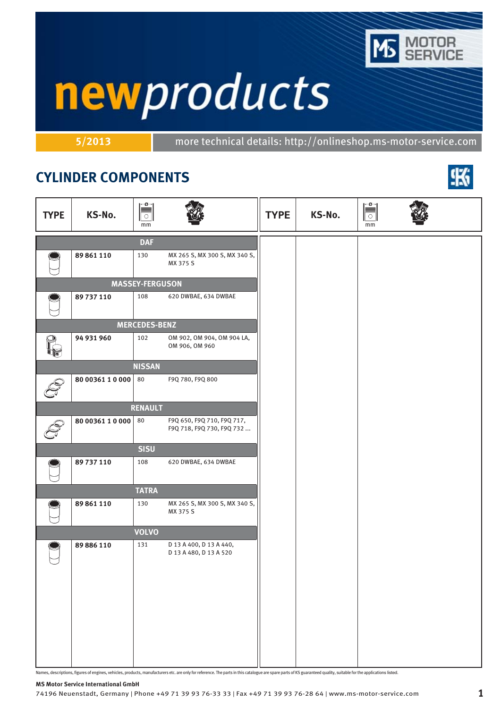

# newproducts

**5/2013** more technical details: http://onlineshop.ms-motor-service.com

## **CYLINDER COMPONENTS**



| <b>TYPE</b> | KS-No.           | ⊫ّ<br>$\circ$<br>mm    |                                                         | <b>TYPE</b> | KS-No. | mm |  |
|-------------|------------------|------------------------|---------------------------------------------------------|-------------|--------|----|--|
|             |                  | <b>DAF</b>             |                                                         |             |        |    |  |
|             | 89 861 110       | 130                    | MX 265 S, MX 300 S, MX 340 S,<br>MX 375 S               |             |        |    |  |
|             |                  | <b>MASSEY-FERGUSON</b> |                                                         |             |        |    |  |
|             | 89 737 110       | 108                    | 620 DWBAE, 634 DWBAE                                    |             |        |    |  |
|             |                  | <b>MERCEDES-BENZ</b>   |                                                         |             |        |    |  |
| O           | 94 931 960       | 102                    | OM 902, OM 904, OM 904 LA,<br>OM 906, OM 960            |             |        |    |  |
|             |                  | <b>NISSAN</b>          |                                                         |             |        |    |  |
|             | 80 00361 1 0 000 | 80                     | F9Q 780, F9Q 800                                        |             |        |    |  |
|             |                  | <b>RENAULT</b>         |                                                         |             |        |    |  |
|             | 80 00361 1 0 000 | 80                     | F9Q 650, F9Q 710, F9Q 717,<br>F9Q 718, F9Q 730, F9Q 732 |             |        |    |  |
|             |                  | <b>SISU</b>            |                                                         |             |        |    |  |
|             | 89 737 110       | 108                    | 620 DWBAE, 634 DWBAE                                    |             |        |    |  |
|             |                  | <b>TATRA</b>           |                                                         |             |        |    |  |
|             | 89 861 110       | 130                    | MX 265 S, MX 300 S, MX 340 S,<br>MX 375 S               |             |        |    |  |
|             |                  | <b>VOLVO</b>           |                                                         |             |        |    |  |
|             | 89 886 110       | 131                    | D 13 A 400, D 13 A 440,<br>D 13 A 480, D 13 A 520       |             |        |    |  |

Names, descriptions, figures of engines, vehicles, products, manufacturers etc. are only for reference. The parts in this catalogue are spare parts of KS guaranteed quality, suitable for the applications listed.

#### **MS Motor Service International GmbH**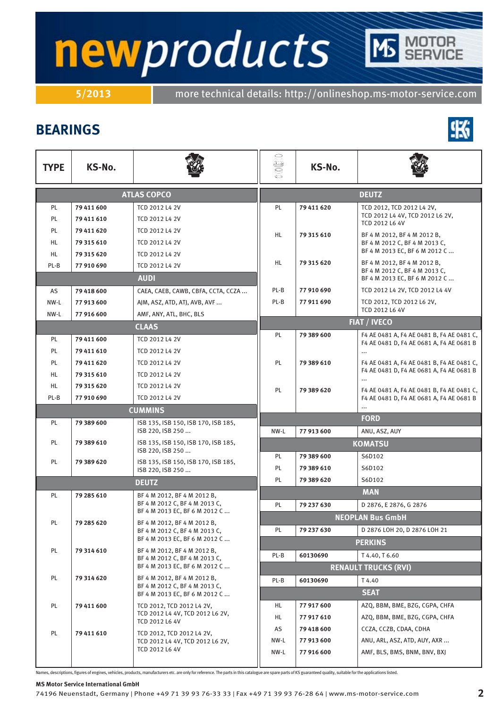# newproducts

**5/2013** more technical details: http://onlineshop.ms-motor-service.com

### **BEARINGS**



Names, descriptions, figures of engines, vehicles, products, manufacturers etc. are only for reference. The parts in this catalogue are spare parts of KS guaranteed quality, suitable for the applications listed.

#### **MS Motor Service International GmbH**

NW-L **77 916 600** AMF, BLS, BMS, BNM, BNV, BXJ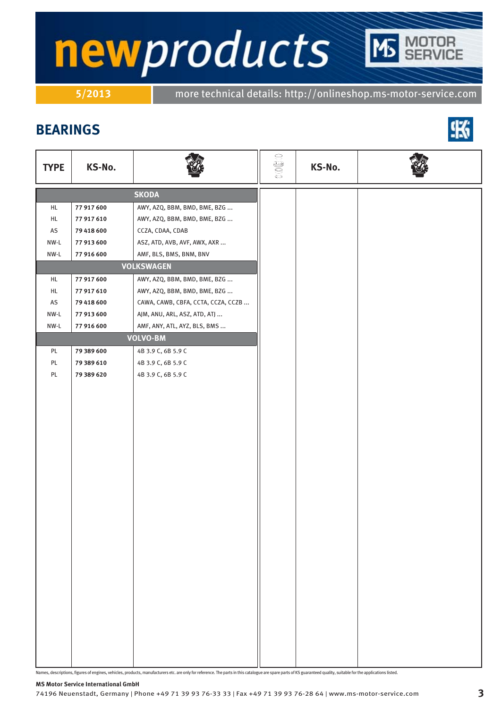# newproducts TOR<br>RVICE

**5/2013** more technical details: http://onlineshop.ms-motor-service.com

### **BEARINGS**



| <b>TYPE</b>   | KS-No.     |                                    | $\mathbb{C} \oplus \mathbb{C}$ O | KS-No. |  |
|---------------|------------|------------------------------------|----------------------------------|--------|--|
|               |            | <b>SKODA</b>                       |                                  |        |  |
| HL            | 77 917 600 | AWY, AZQ, BBM, BMD, BME, BZG       |                                  |        |  |
| HL            | 77 917 610 | AWY, AZQ, BBM, BMD, BME, BZG       |                                  |        |  |
| AS            | 79 418 600 | CCZA, CDAA, CDAB                   |                                  |        |  |
| NW-L          | 77 913 600 | ASZ, ATD, AVB, AVF, AWX, AXR       |                                  |        |  |
| NW-L          | 77 916 600 | AMF, BLS, BMS, BNM, BNV            |                                  |        |  |
|               |            | <b>VOLKSWAGEN</b>                  |                                  |        |  |
| HL            | 77 917 600 | AWY, AZQ, BBM, BMD, BME, BZG       |                                  |        |  |
| HL            | 77 917 610 | AWY, AZQ, BBM, BMD, BME, BZG       |                                  |        |  |
| AS            | 79 418 600 | CAWA, CAWB, CBFA, CCTA, CCZA, CCZB |                                  |        |  |
| NW-L          | 77 913 600 | AJM, ANU, ARL, ASZ, ATD, ATJ       |                                  |        |  |
| NW-L          | 77 916 600 | AMF, ANY, ATL, AYZ, BLS, BMS       |                                  |        |  |
|               |            | <b>VOLVO-BM</b>                    |                                  |        |  |
| PL            | 79 389 600 | 4B 3.9 C, 6B 5.9 C                 |                                  |        |  |
| PL            | 79 389 610 | 4B 3.9 C, 6B 5.9 C                 |                                  |        |  |
| $\mathsf{PL}$ | 79 389 620 | 4B 3.9 C, 6B 5.9 C                 |                                  |        |  |
|               |            |                                    |                                  |        |  |
|               |            |                                    |                                  |        |  |
|               |            |                                    |                                  |        |  |
|               |            |                                    |                                  |        |  |
|               |            |                                    |                                  |        |  |
|               |            |                                    |                                  |        |  |
|               |            |                                    |                                  |        |  |
|               |            |                                    |                                  |        |  |
|               |            |                                    |                                  |        |  |
|               |            |                                    |                                  |        |  |
|               |            |                                    |                                  |        |  |
|               |            |                                    |                                  |        |  |
|               |            |                                    |                                  |        |  |
|               |            |                                    |                                  |        |  |
|               |            |                                    |                                  |        |  |
|               |            |                                    |                                  |        |  |
|               |            |                                    |                                  |        |  |
|               |            |                                    |                                  |        |  |
|               |            |                                    |                                  |        |  |
|               |            |                                    |                                  |        |  |
|               |            |                                    |                                  |        |  |
|               |            |                                    |                                  |        |  |
|               |            |                                    |                                  |        |  |
|               |            |                                    |                                  |        |  |

Names, descriptions, figures of engines, vehicles, products, manufacturers etc. are only for reference. The parts in this catalogue are spare parts of KS guaranteed quality, suitable for the applications listed.

### **MS Motor Service International GmbH**